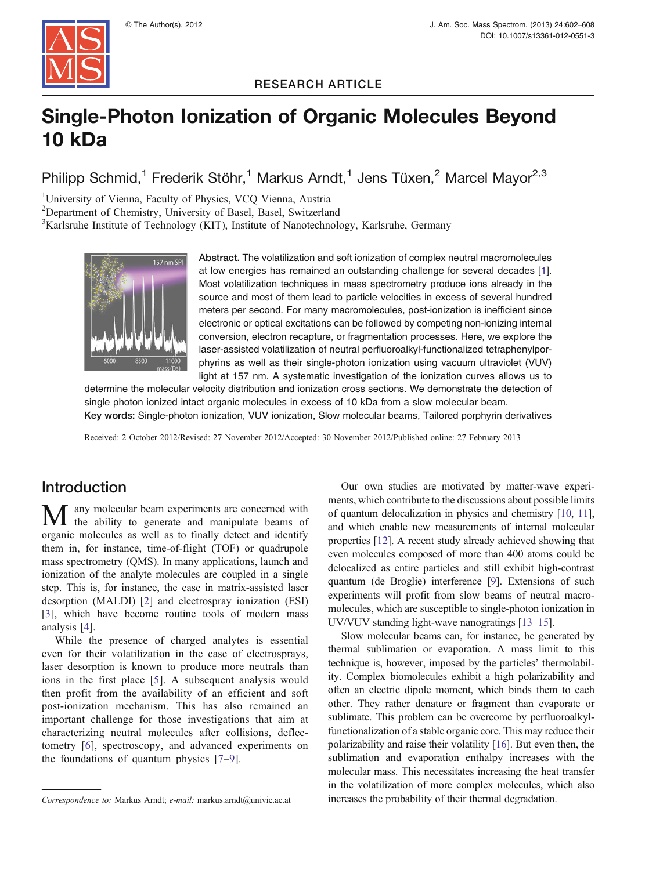

RESEARCH ARTICLE

# Single-Photon Ionization of Organic Molecules Beyond 10 kDa

Philipp Schmid,<sup>1</sup> Frederik Stöhr,<sup>1</sup> Markus Arndt,<sup>1</sup> Jens Tüxen,<sup>2</sup> Marcel Mayor<sup>2,3</sup>

<sup>1</sup>University of Vienna, Faculty of Physics, VCQ Vienna, Austria

<sup>2</sup>Department of Chemistry, University of Basel, Basel, Switzerland

<sup>3</sup>Karlsruhe Institute of Technology (KIT), Institute of Nanotechnology, Karlsruhe, Germany



Abstract. The volatilization and soft ionization of complex neutral macromolecules at low energies has remained an outstanding challenge for several decades [\[1](#page-5-0)]. Most volatilization techniques in mass spectrometry produce ions already in the source and most of them lead to particle velocities in excess of several hundred meters per second. For many macromolecules, post-ionization is inefficient since electronic or optical excitations can be followed by competing non-ionizing internal conversion, electron recapture, or fragmentation processes. Here, we explore the laser-assisted volatilization of neutral perfluoroalkyl-functionalized tetraphenylporphyrins as well as their single-photon ionization using vacuum ultraviolet (VUV) light at 157 nm. A systematic investigation of the ionization curves allows us to

determine the molecular velocity distribution and ionization cross sections. We demonstrate the detection of single photon ionized intact organic molecules in excess of 10 kDa from a slow molecular beam. Key words: Single-photon ionization, VUV ionization, Slow molecular beams, Tailored porphyrin derivatives

Received: 2 October 2012/Revised: 27 November 2012/Accepted: 30 November 2012/Published online: 27 February 2013

## Introduction

any molecular beam experiments are concerned with the ability to generate and manipulate beams of organic molecules as well as to finally detect and identify them in, for instance, time-of-flight (TOF) or quadrupole mass spectrometry (QMS). In many applications, launch and ionization of the analyte molecules are coupled in a single step. This is, for instance, the case in matrix-assisted laser desorption (MALDI) [[2\]](#page-5-0) and electrospray ionization (ESI) [\[3](#page-5-0)], which have become routine tools of modern mass analysis [\[4](#page-5-0)].

While the presence of charged analytes is essential even for their volatilization in the case of electrosprays, laser desorption is known to produce more neutrals than ions in the first place [[5\]](#page-5-0). A subsequent analysis would then profit from the availability of an efficient and soft post-ionization mechanism. This has also remained an important challenge for those investigations that aim at characterizing neutral molecules after collisions, deflectometry [\[6](#page-5-0)], spectroscopy, and advanced experiments on the foundations of quantum physics [\[7](#page-5-0)–[9](#page-5-0)].

Our own studies are motivated by matter-wave experiments, which contribute to the discussions about possible limits of quantum delocalization in physics and chemistry [\[10,](#page-5-0) [11](#page-5-0)], and which enable new measurements of internal molecular properties [\[12](#page-5-0)]. A recent study already achieved showing that even molecules composed of more than 400 atoms could be delocalized as entire particles and still exhibit high-contrast quantum (de Broglie) interference [[9\]](#page-5-0). Extensions of such experiments will profit from slow beams of neutral macromolecules, which are susceptible to single-photon ionization in UV/VUV standing light-wave nanogratings [[13](#page-5-0)–[15](#page-5-0)].

Slow molecular beams can, for instance, be generated by thermal sublimation or evaporation. A mass limit to this technique is, however, imposed by the particles' thermolability. Complex biomolecules exhibit a high polarizability and often an electric dipole moment, which binds them to each other. They rather denature or fragment than evaporate or sublimate. This problem can be overcome by perfluoroalkylfunctionalization of a stable organic core. This may reduce their polarizability and raise their volatility [\[16](#page-5-0)]. But even then, the sublimation and evaporation enthalpy increases with the molecular mass. This necessitates increasing the heat transfer in the volatilization of more complex molecules, which also Correspondence to: Markus Arndt; e-mail: markus.arndt@univie.ac.at increases the probability of their thermal degradation.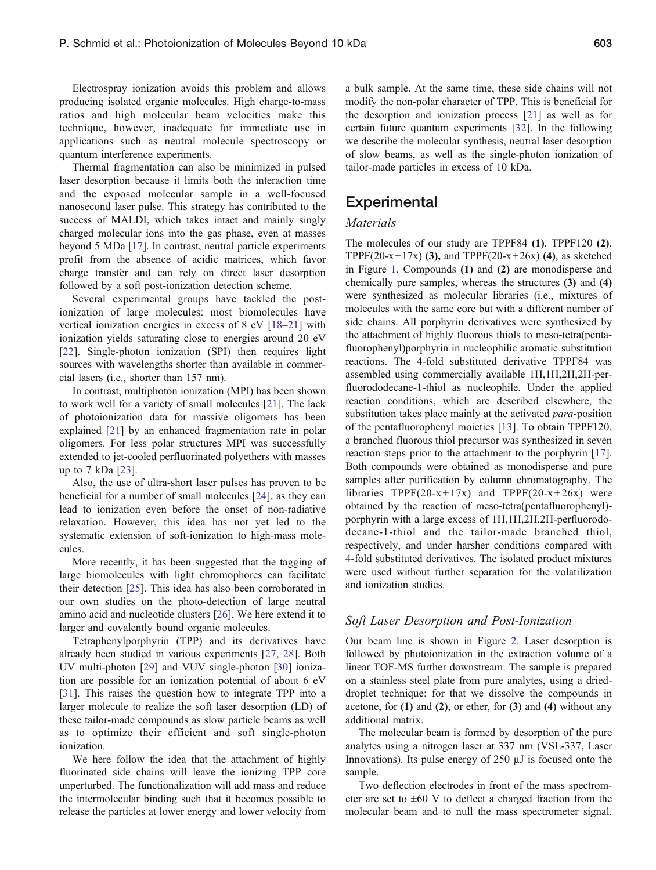Electrospray ionization avoids this problem and allows producing isolated organic molecules. High charge-to-mass ratios and high molecular beam velocities make this technique, however, inadequate for immediate use in applications such as neutral molecule spectroscopy or quantum interference experiments.

Thermal fragmentation can also be minimized in pulsed laser desorption because it limits both the interaction time and the exposed molecular sample in a well-focused nanosecond laser pulse. This strategy has contributed to the success of MALDI, which takes intact and mainly singly charged molecular ions into the gas phase, even at masses beyond 5 MDa [[17\]](#page-5-0). In contrast, neutral particle experiments profit from the absence of acidic matrices, which favor charge transfer and can rely on direct laser desorption followed by a soft post-ionization detection scheme.

Several experimental groups have tackled the postionization of large molecules: most biomolecules have vertical ionization energies in excess of 8 eV [\[18](#page-5-0)–[21](#page-5-0)] with ionization yields saturating close to energies around 20 eV [\[22](#page-5-0)]. Single-photon ionization (SPI) then requires light sources with wavelengths shorter than available in commercial lasers (i.e., shorter than 157 nm).

In contrast, multiphoton ionization (MPI) has been shown to work well for a variety of small molecules [\[21](#page-5-0)]. The lack of photoionization data for massive oligomers has been explained [[21\]](#page-5-0) by an enhanced fragmentation rate in polar oligomers. For less polar structures MPI was successfully extended to jet-cooled perfluorinated polyethers with masses up to 7 kDa [\[23](#page-5-0)].

Also, the use of ultra-short laser pulses has proven to be beneficial for a number of small molecules [\[24](#page-5-0)], as they can lead to ionization even before the onset of non-radiative relaxation. However, this idea has not yet led to the systematic extension of soft-ionization to high-mass molecules.

More recently, it has been suggested that the tagging of large biomolecules with light chromophores can facilitate their detection [[25\]](#page-6-0). This idea has also been corroborated in our own studies on the photo-detection of large neutral amino acid and nucleotide clusters [[26\]](#page-6-0). We here extend it to larger and covalently bound organic molecules.

Tetraphenylporphyrin (TPP) and its derivatives have already been studied in various experiments [[27,](#page-6-0) [28](#page-6-0)]. Both UV multi-photon [\[29](#page-6-0)] and VUV single-photon [[30\]](#page-6-0) ionization are possible for an ionization potential of about 6 eV [\[31](#page-6-0)]. This raises the question how to integrate TPP into a larger molecule to realize the soft laser desorption (LD) of these tailor-made compounds as slow particle beams as well as to optimize their efficient and soft single-photon ionization.

We here follow the idea that the attachment of highly fluorinated side chains will leave the ionizing TPP core unperturbed. The functionalization will add mass and reduce the intermolecular binding such that it becomes possible to release the particles at lower energy and lower velocity from a bulk sample. At the same time, these side chains will not modify the non-polar character of TPP. This is beneficial for the desorption and ionization process [[21\]](#page-5-0) as well as for certain future quantum experiments [\[32](#page-6-0)]. In the following we describe the molecular synthesis, neutral laser desorption of slow beams, as well as the single-photon ionization of tailor-made particles in excess of 10 kDa.

### **Experimental**

#### Materials

The molecules of our study are TPPF84 (1), TPPF120 (2), TPPF(20-x+17x) (3), and TPPF(20-x+26x) (4), as sketched in Figure [1.](#page-2-0) Compounds (1) and (2) are monodisperse and chemically pure samples, whereas the structures (3) and (4) were synthesized as molecular libraries (i.e., mixtures of molecules with the same core but with a different number of side chains. All porphyrin derivatives were synthesized by the attachment of highly fluorous thiols to meso-tetra(pentafluorophenyl)porphyrin in nucleophilic aromatic substitution reactions. The 4-fold substituted derivative TPPF84 was assembled using commercially available 1H,1H,2H,2H-perfluorododecane-1-thiol as nucleophile. Under the applied reaction conditions, which are described elsewhere, the substitution takes place mainly at the activated *para*-position of the pentafluorophenyl moieties [\[13](#page-5-0)]. To obtain TPPF120, a branched fluorous thiol precursor was synthesized in seven reaction steps prior to the attachment to the porphyrin [\[17](#page-5-0)]. Both compounds were obtained as monodisperse and pure samples after purification by column chromatography. The libraries TPPF(20-x+17x) and TPPF(20-x+26x) were obtained by the reaction of meso-tetra(pentafluorophenyl) porphyrin with a large excess of 1H,1H,2H,2H-perfluorododecane-1-thiol and the tailor-made branched thiol, respectively, and under harsher conditions compared with 4-fold substituted derivatives. The isolated product mixtures were used without further separation for the volatilization and ionization studies.

#### Soft Laser Desorption and Post-Ionization

Our beam line is shown in Figure [2](#page-2-0). Laser desorption is followed by photoionization in the extraction volume of a linear TOF-MS further downstream. The sample is prepared on a stainless steel plate from pure analytes, using a drieddroplet technique: for that we dissolve the compounds in acetone, for  $(1)$  and  $(2)$ , or ether, for  $(3)$  and  $(4)$  without any additional matrix.

The molecular beam is formed by desorption of the pure analytes using a nitrogen laser at 337 nm (VSL-337, Laser Innovations). Its pulse energy of 250 μJ is focused onto the sample.

Two deflection electrodes in front of the mass spectrometer are set to  $\pm 60$  V to deflect a charged fraction from the molecular beam and to null the mass spectrometer signal.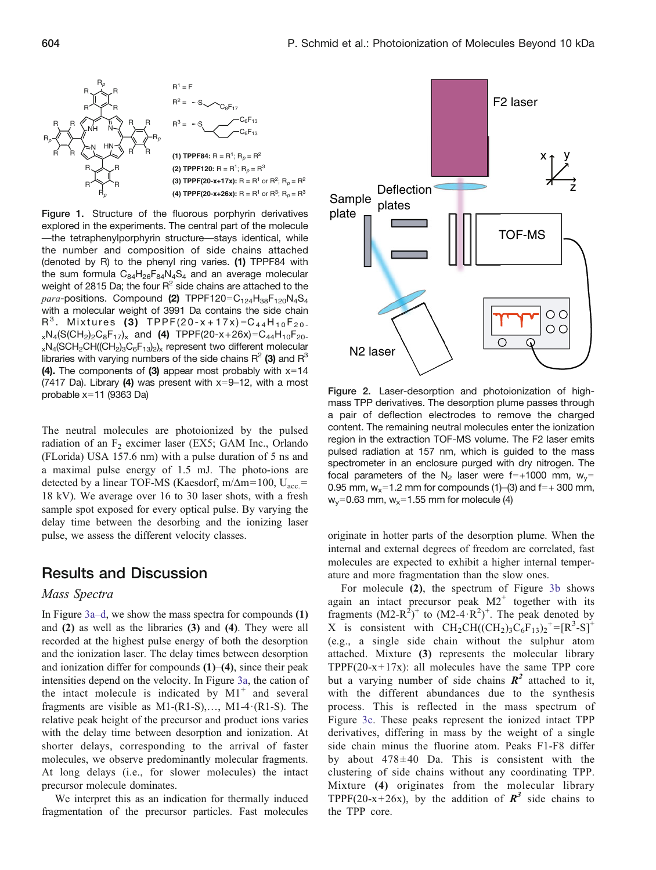<span id="page-2-0"></span>

Figure 1. Structure of the fluorous porphyrin derivatives explored in the experiments. The central part of the molecule —the tetraphenylporphyrin structure—stays identical, while the number and composition of side chains attached (denoted by R) to the phenyl ring varies. (1) TPPF84 with the sum formula  $C_{84}H_{26}F_{84}N_4S_4$  and an average molecular weight of 2815 Da; the four  $R^2$  side chains are attached to the para-positions. Compound (2) TPPF120= $C_{124}H_{38}F_{120}N_4S_4$ with a molecular weight of 3991 Da contains the side chain  $R^3$ . Mixtures (3) TPPF(20-x+17x)= $C_{44}H_{10}F_{20}$ .  $_{x}N_{4}(S(CH_{2})_{2}C_{8}F_{17})_{x}$  and (4) TPPF(20-x+26x)=C<sub>44</sub>H<sub>10</sub>F<sub>20-</sub>  $_{x}N_{4}$ (SCH<sub>2</sub>CH((CH<sub>2</sub>)<sub>3</sub>C<sub>6</sub>F<sub>13</sub>)<sub>2</sub>)<sub>x</sub> represent two different molecular libraries with varying numbers of the side chains  $R^2$  (3) and  $R^3$ (4). The components of (3) appear most probably with  $x=14$ (7417 Da). Library (4) was present with  $x=9-12$ , with a most probable  $x=11$  (9363 Da)

The neutral molecules are photoionized by the pulsed radiation of an  $F_2$  excimer laser (EX5; GAM Inc., Orlando (FLorida) USA 157.6 nm) with a pulse duration of 5 ns and a maximal pulse energy of 1.5 mJ. The photo-ions are detected by a linear TOF-MS (Kaesdorf, m/ $\Delta$ m=100, U<sub>acc</sub>. 18 kV). We average over 16 to 30 laser shots, with a fresh sample spot exposed for every optical pulse. By varying the delay time between the desorbing and the ionizing laser pulse, we assess the different velocity classes.

## Results and Discussion

#### Mass Spectra

In Figure [3a](#page-3-0)–d, we show the mass spectra for compounds (1) and (2) as well as the libraries (3) and (4). They were all recorded at the highest pulse energy of both the desorption and the ionization laser. The delay times between desorption and ionization differ for compounds  $(1)$ – $(4)$ , since their peak intensities depend on the velocity. In Figure [3a](#page-3-0), the cation of the intact molecule is indicated by  $M1^+$  and several fragments are visible as  $M1-(R1-S),..., M1-4-(R1-S)$ . The relative peak height of the precursor and product ions varies with the delay time between desorption and ionization. At shorter delays, corresponding to the arrival of faster molecules, we observe predominantly molecular fragments. At long delays (i.e., for slower molecules) the intact precursor molecule dominates.

We interpret this as an indication for thermally induced fragmentation of the precursor particles. Fast molecules



Figure 2. Laser-desorption and photoionization of highmass TPP derivatives. The desorption plume passes through a pair of deflection electrodes to remove the charged content. The remaining neutral molecules enter the ionization region in the extraction TOF-MS volume. The F2 laser emits pulsed radiation at 157 nm, which is guided to the mass spectrometer in an enclosure purged with dry nitrogen. The focal parameters of the N<sub>2</sub> laser were f=+1000 mm,  $w_y=$ 0.95 mm,  $w_x=1.2$  mm for compounds (1)–(3) and f=+ 300 mm,  $w_y=0.63$  mm,  $w_x=1.55$  mm for molecule (4)

originate in hotter parts of the desorption plume. When the internal and external degrees of freedom are correlated, fast molecules are expected to exhibit a higher internal temperature and more fragmentation than the slow ones.

For molecule (2), the spectrum of Figure [3b](#page-3-0) shows again an intact precursor peak  $M2^+$  together with its fragments  $(M2-R<sup>2</sup>)<sup>+</sup>$  to  $(M2-4\cdot R<sup>2</sup>)<sup>+</sup>$ . The peak denoted by X is consistent with  $\text{CH}_2\text{CH}((\text{CH}_2)_3\text{C}_6\text{F}_{13})_2^{\text{+}}=[\text{R}^3\text{-S}]^+$ (e.g., a single side chain without the sulphur atom attached. Mixture (3) represents the molecular library TPPF $(20-x+17x)$ : all molecules have the same TPP core but a varying number of side chains  $\mathbb{R}^2$  attached to it, with the different abundances due to the synthesis process. This is reflected in the mass spectrum of Figure [3c.](#page-3-0) These peaks represent the ionized intact TPP derivatives, differing in mass by the weight of a single side chain minus the fluorine atom. Peaks F1-F8 differ by about  $478\pm40$  Da. This is consistent with the clustering of side chains without any coordinating TPP. Mixture (4) originates from the molecular library TPPF(20-x+26x), by the addition of  $\mathbb{R}^3$  side chains to the TPP core.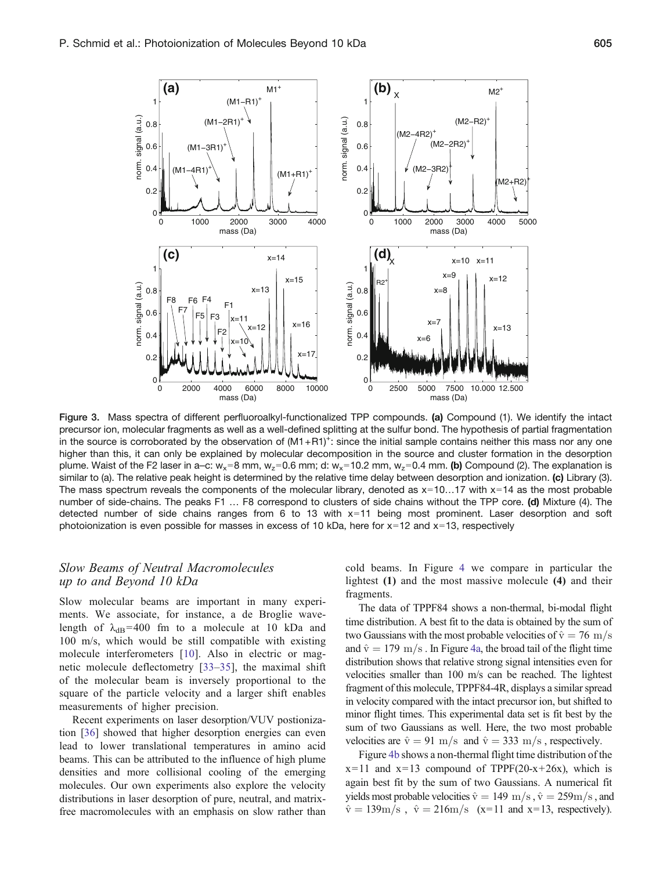<span id="page-3-0"></span>

Figure 3. Mass spectra of different perfluoroalkyl-functionalized TPP compounds. (a) Compound (1). We identify the intact precursor ion, molecular fragments as well as a well-defined splitting at the sulfur bond. The hypothesis of partial fragmentation in the source is corroborated by the observation of  $(M1+R1)^+$ : since the initial sample contains neither this mass nor any one higher than this, it can only be explained by molecular decomposition in the source and cluster formation in the desorption plume. Waist of the F2 laser in a–c:  $w_x=8$  mm,  $w_z=0.6$  mm; d:  $w_x=10.2$  mm,  $w_z=0.4$  mm. (b) Compound (2). The explanation is similar to (a). The relative peak height is determined by the relative time delay between desorption and ionization. (c) Library (3). The mass spectrum reveals the components of the molecular library, denoted as  $x=10...17$  with  $x=14$  as the most probable number of side-chains. The peaks F1 ... F8 correspond to clusters of side chains without the TPP core. (d) Mixture (4). The detected number of side chains ranges from  $6$  to 13 with  $x=11$  being most prominent. Laser desorption and soft photoionization is even possible for masses in excess of 10 kDa, here for  $x=12$  and  $x=13$ , respectively

#### Slow Beams of Neutral Macromolecules up to and Beyond 10 kDa

Slow molecular beams are important in many experiments. We associate, for instance, a de Broglie wavelength of  $\lambda_{dB}$ =400 fm to a molecule at 10 kDa and 100 m/s, which would be still compatible with existing molecule interferometers [[10\]](#page-5-0). Also in electric or magnetic molecule deflectometry [\[33](#page-6-0)–[35\]](#page-6-0), the maximal shift of the molecular beam is inversely proportional to the square of the particle velocity and a larger shift enables measurements of higher precision.

Recent experiments on laser desorption/VUV postionization [[36\]](#page-6-0) showed that higher desorption energies can even lead to lower translational temperatures in amino acid beams. This can be attributed to the influence of high plume densities and more collisional cooling of the emerging molecules. Our own experiments also explore the velocity distributions in laser desorption of pure, neutral, and matrixfree macromolecules with an emphasis on slow rather than

cold beams. In Figure [4](#page-4-0) we compare in particular the lightest (1) and the most massive molecule (4) and their fragments.

The data of TPPF84 shows a non-thermal, bi-modal flight time distribution. A best fit to the data is obtained by the sum of two Gaussians with the most probable velocities of  $\hat{v} = 76 \text{ m/s}$ and  $\hat{v} = 179 \text{ m/s}$ . In Figure [4a](#page-4-0), the broad tail of the flight time distribution shows that relative strong signal intensities even for velocities smaller than 100 m/s can be reached. The lightest fragment of this molecule, TPPF84-4R, displays a similar spread in velocity compared with the intact precursor ion, but shifted to minor flight times. This experimental data set is fit best by the sum of two Gaussians as well. Here, the two most probable velocities are  $\hat{v} = 91 \text{ m/s}$  and  $\hat{v} = 333 \text{ m/s}$ , respectively.

Figure [4b](#page-4-0) shows a non-thermal flight time distribution of the  $x=11$  and  $x=13$  compound of TPPF(20-x+26x), which is again best fit by the sum of two Gaussians. A numerical fit yields most probable velocities  $\hat{v} = 149 \text{ m/s}, \hat{v} = 259 \text{ m/s}$ , and  $\hat{v} = 139 \text{m/s}$ ,  $\hat{v} = 216 \text{m/s}$  (x=11 and x=13, respectively).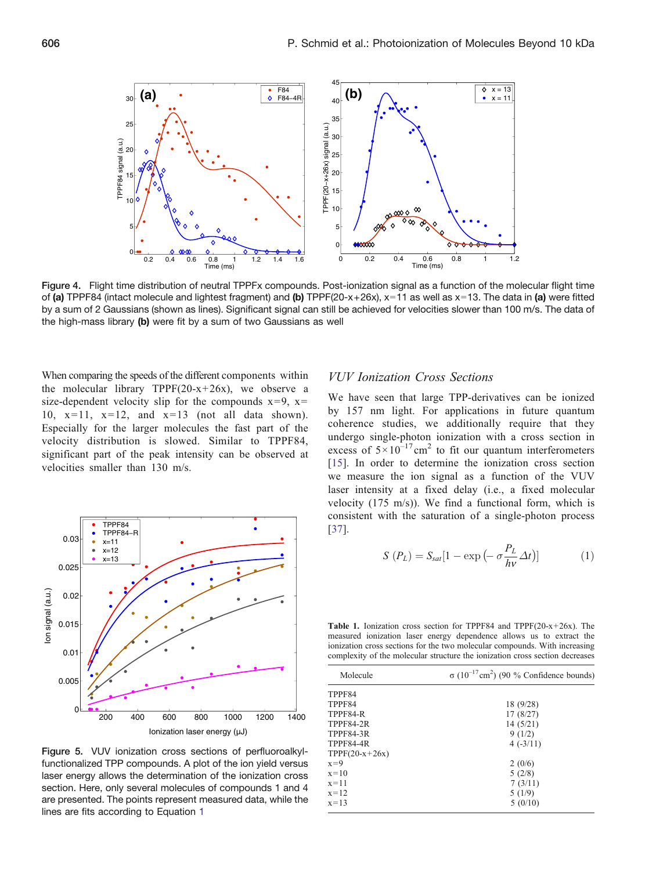<span id="page-4-0"></span>

Figure 4. Flight time distribution of neutral TPPFx compounds. Post-ionization signal as a function of the molecular flight time of (a) TPPF84 (intact molecule and lightest fragment) and (b) TPPF(20-x+26x),  $x=11$  as well as  $x=13$ . The data in (a) were fitted by a sum of 2 Gaussians (shown as lines). Significant signal can still be achieved for velocities slower than 100 m/s. The data of the high-mass library (b) were fit by a sum of two Gaussians as well

When comparing the speeds of the different components within the molecular library TPPF(20- $x+26x$ ), we observe a size-dependent velocity slip for the compounds  $x=9$ ,  $x=$ 10,  $x=11$ ,  $x=12$ , and  $x=13$  (not all data shown). Especially for the larger molecules the fast part of the velocity distribution is slowed. Similar to TPPF84, significant part of the peak intensity can be observed at velocities smaller than 130 m/s.



Figure 5. VUV ionization cross sections of perfluoroalkylfunctionalized TPP compounds. A plot of the ion yield versus laser energy allows the determination of the ionization cross section. Here, only several molecules of compounds 1 and 4 are presented. The points represent measured data, while the lines are fits according to Equation 1

#### VUV Ionization Cross Sections

We have seen that large TPP-derivatives can be ionized by 157 nm light. For applications in future quantum coherence studies, we additionally require that they undergo single-photon ionization with a cross section in excess of  $5 \times 10^{-17}$  cm<sup>2</sup> to fit our quantum interferometers [\[15](#page-5-0)]. In order to determine the ionization cross section we measure the ion signal as a function of the VUV laser intensity at a fixed delay (i.e., a fixed molecular velocity (175 m/s)). We find a functional form, which is consistent with the saturation of a single-photon process [\[37](#page-6-0)].

$$
S(P_L) = S_{sat}[1 - \exp(-\sigma \frac{P_L}{h\nu} \Delta t)] \tag{1}
$$

Table 1. Ionization cross section for TPPF84 and TPPF(20-x+26x). The measured ionization laser energy dependence allows us to extract the ionization cross sections for the two molecular compounds. With increasing complexity of the molecular structure the ionization cross section decreases

| Molecule         | $\sigma$ (10 <sup>-17</sup> cm <sup>2</sup> ) (90 % Confidence bounds) |
|------------------|------------------------------------------------------------------------|
| TPPF84           |                                                                        |
| TPPF84           | 18 (9/28)                                                              |
| TPPF84-R         | 17(8/27)                                                               |
| <b>TPPF84-2R</b> | 14(5/21)                                                               |
| <b>TPPF84-3R</b> | 9(1/2)                                                                 |
| <b>TPPF84-4R</b> | $4(-3/11)$                                                             |
| $TPPF(20-x+26x)$ |                                                                        |
| $x=9$            | 2(0/6)                                                                 |
| $x=10$           | 5(2/8)                                                                 |
| $x=11$           | 7(3/11)                                                                |
| $x = 12$         | 5(1/9)                                                                 |
| $x=13$           | 5(0/10)                                                                |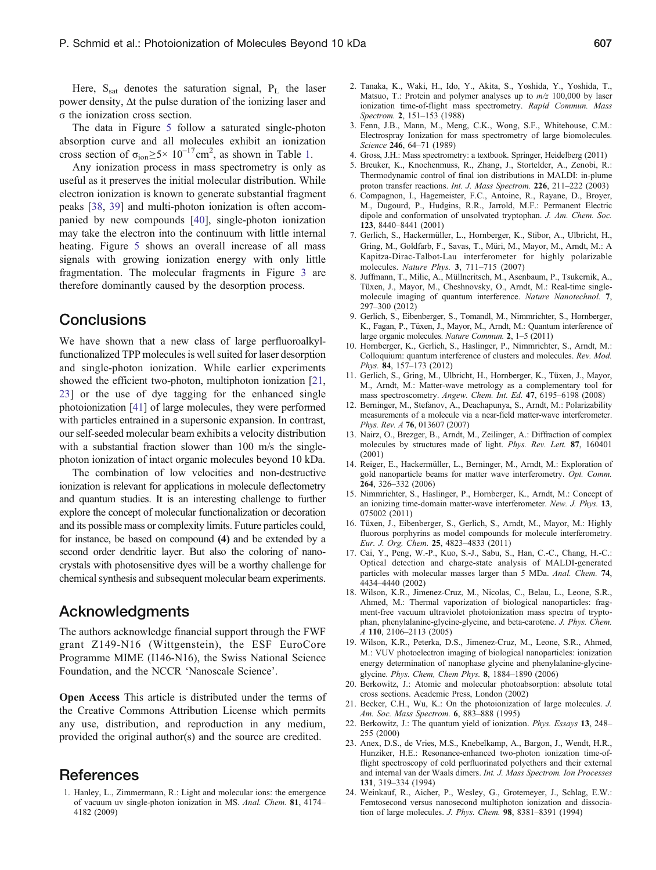<span id="page-5-0"></span>Here,  $S_{\text{sat}}$  denotes the saturation signal,  $P_L$  the laser power density, Δt the pulse duration of the ionizing laser and σ the ionization cross section.

The data in Figure [5](#page-4-0) follow a saturated single-photon absorption curve and all molecules exhibit an ionization cross section of  $\sigma_{\text{ion}} \ge 5 \times 10^{-17} \text{cm}^2$ , as shown in Table 1.

Any ionization process in mass spectrometry is only as useful as it preserves the initial molecular distribution. While electron ionization is known to generate substantial fragment peaks [\[38](#page-6-0), [39](#page-6-0)] and multi-photon ionization is often accompanied by new compounds [\[40](#page-6-0)], single-photon ionization may take the electron into the continuum with little internal heating. Figure [5](#page-4-0) shows an overall increase of all mass signals with growing ionization energy with only little fragmentation. The molecular fragments in Figure [3](#page-3-0) are therefore dominantly caused by the desorption process.

## **Conclusions**

We have shown that a new class of large perfluoroalkylfunctionalized TPP molecules is well suited for laser desorption and single-photon ionization. While earlier experiments showed the efficient two-photon, multiphoton ionization [21, 23] or the use of dye tagging for the enhanced single photoionization [[41](#page-6-0)] of large molecules, they were performed with particles entrained in a supersonic expansion. In contrast, our self-seeded molecular beam exhibits a velocity distribution with a substantial fraction slower than 100 m/s the singlephoton ionization of intact organic molecules beyond 10 kDa.

The combination of low velocities and non-destructive ionization is relevant for applications in molecule deflectometry and quantum studies. It is an interesting challenge to further explore the concept of molecular functionalization or decoration and its possible mass or complexity limits. Future particles could, for instance, be based on compound (4) and be extended by a second order dendritic layer. But also the coloring of nanocrystals with photosensitive dyes will be a worthy challenge for chemical synthesis and subsequent molecular beam experiments.

## Acknowledgments

The authors acknowledge financial support through the FWF grant Z149-N16 (Wittgenstein), the ESF EuroCore Programme MIME (I146-N16), the Swiss National Science Foundation, and the NCCR 'Nanoscale Science'.

Open Access This article is distributed under the terms of the Creative Commons Attribution License which permits any use, distribution, and reproduction in any medium, provided the original author(s) and the source are credited.

## **References**

1. Hanley, L., Zimmermann, R.: Light and molecular ions: the emergence of vacuum uv single-photon ionization in MS. Anal. Chem. 81, 4174– 4182 (2009)

- 2. Tanaka, K., Waki, H., Ido, Y., Akita, S., Yoshida, Y., Yoshida, T., Matsuo, T.: Protein and polymer analyses up to  $m/z$  100,000 by laser ionization time-of-flight mass spectrometry. Rapid Commun. Mass Spectrom. 2, 151–153 (1988)
- 3. Fenn, J.B., Mann, M., Meng, C.K., Wong, S.F., Whitehouse, C.M.: Electrospray Ionization for mass spectrometry of large biomolecules. Science 246, 64-71 (1989)
- 4. Gross, J.H.: Mass spectrometry: a textbook. Springer, Heidelberg (2011)
- 5. Breuker, K., Knochenmuss, R., Zhang, J., Stortelder, A., Zenobi, R.: Thermodynamic control of final ion distributions in MALDI: in-plume proton transfer reactions. Int. J. Mass Spectrom. 226, 211–222 (2003)
- 6. Compagnon, I., Hagemeister, F.C., Antoine, R., Rayane, D., Broyer, M., Dugourd, P., Hudgins, R.R., Jarrold, M.F.: Permanent Electric dipole and conformation of unsolvated tryptophan. J. Am. Chem. Soc. 123, 8440–8441 (2001)
- 7. Gerlich, S., Hackermüller, L., Hornberger, K., Stibor, A., Ulbricht, H., Gring, M., Goldfarb, F., Savas, T., Müri, M., Mayor, M., Arndt, M.: A Kapitza-Dirac-Talbot-Lau interferometer for highly polarizable molecules. Nature Phys. 3, 711–715 (2007)
- 8. Juffmann, T., Milic, A., Müllneritsch, M., Asenbaum, P., Tsukernik, A., Tüxen, J., Mayor, M., Cheshnovsky, O., Arndt, M.: Real-time singlemolecule imaging of quantum interference. Nature Nanotechnol. 7, 297–300 (2012)
- 9. Gerlich, S., Eibenberger, S., Tomandl, M., Nimmrichter, S., Hornberger, K., Fagan, P., Tüxen, J., Mayor, M., Arndt, M.: Quantum interference of large organic molecules. Nature Commun. 2, 1–5 (2011)
- 10. Hornberger, K., Gerlich, S., Haslinger, P., Nimmrichter, S., Arndt, M.: Colloquium: quantum interference of clusters and molecules. Rev. Mod. Phys. 84, 157–173 (2012)
- 11. Gerlich, S., Gring, M., Ulbricht, H., Hornberger, K., Tüxen, J., Mayor, M., Arndt, M.: Matter-wave metrology as a complementary tool for mass spectroscometry. Angew. Chem. Int. Ed. 47, 6195–6198 (2008)
- 12. Berninger, M., Stefanov, A., Deachapunya, S., Arndt, M.: Polarizability measurements of a molecule via a near-field matter-wave interferometer. Phys. Rev. A 76, 013607 (2007)
- 13. Nairz, O., Brezger, B., Arndt, M., Zeilinger, A.: Diffraction of complex molecules by structures made of light. Phys. Rev. Lett. 87, 160401 (2001)
- 14. Reiger, E., Hackermüller, L., Berninger, M., Arndt, M.: Exploration of gold nanoparticle beams for matter wave interferometry. Opt. Comm. 264, 326–332 (2006)
- 15. Nimmrichter, S., Haslinger, P., Hornberger, K., Arndt, M.: Concept of an ionizing time-domain matter-wave interferometer. New. J. Phys. 13, 075002 (2011)
- 16. Tüxen, J., Eibenberger, S., Gerlich, S., Arndt, M., Mayor, M.: Highly fluorous porphyrins as model compounds for molecule interferometry. Eur. J. Org. Chem. 25, 4823–4833 (2011)
- 17. Cai, Y., Peng, W.-P., Kuo, S.-J., Sabu, S., Han, C.-C., Chang, H.-C.: Optical detection and charge-state analysis of MALDI-generated particles with molecular masses larger than 5 MDa. Anal. Chem. 74, 4434–4440 (2002)
- 18. Wilson, K.R., Jimenez-Cruz, M., Nicolas, C., Belau, L., Leone, S.R., Ahmed, M.: Thermal vaporization of biological nanoparticles: fragment-free vacuum ultraviolet photoionization mass spectra of tryptophan, phenylalanine-glycine-glycine, and beta-carotene. J. Phys. Chem. A 110, 2106–2113 (2005)
- 19. Wilson, K.R., Peterka, D.S., Jimenez-Cruz, M., Leone, S.R., Ahmed, M.: VUV photoelectron imaging of biological nanoparticles: ionization energy determination of nanophase glycine and phenylalanine-glycineglycine. Phys. Chem, Chem Phys. 8, 1884–1890 (2006)
- 20. Berkowitz, J.: Atomic and molecular photoabsorption: absolute total cross sections. Academic Press, London (2002)
- 21. Becker, C.H., Wu, K.: On the photoionization of large molecules. J. Am. Soc. Mass Spectrom. 6, 883–888 (1995)
- 22. Berkowitz, J.: The quantum yield of ionization. Phys. Essays 13, 248– 255 (2000)
- 23. Anex, D.S., de Vries, M.S., Knebelkamp, A., Bargon, J., Wendt, H.R., Hunziker, H.E.: Resonance-enhanced two-photon ionization time-offlight spectroscopy of cold perfluorinated polyethers and their external and internal van der Waals dimers. Int. J. Mass Spectrom. Ion Processes 131, 319–334 (1994)
- 24. Weinkauf, R., Aicher, P., Wesley, G., Grotemeyer, J., Schlag, E.W.: Femtosecond versus nanosecond multiphoton ionization and dissociation of large molecules. J. Phys. Chem. 98, 8381–8391 (1994)